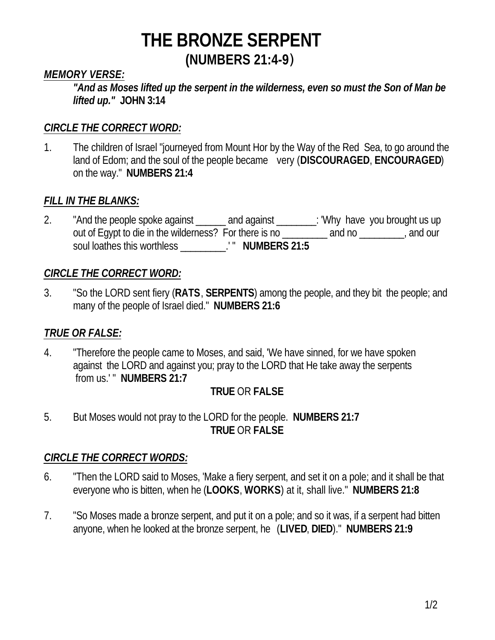#### *MEMORY VERSE:*

*"And as Moses lifted up the serpent in the wilderness, even so must the Son of Man be lifted up."* **JOHN 3:14**

#### *CIRCLE THE CORRECT WORD:*

1. The children of Israel "journeyed from Mount Hor by the Way of the Red Sea, to go around the land of Edom; and the soul of the people became very (**DISCOURAGED**, **ENCOURAGED**) on the way." **NUMBERS 21:4**

#### *FILL IN THE BLANKS:*

2. "And the people spoke against \_\_\_\_\_\_ and against \_\_\_\_\_\_\_: 'Why have you brought us up out of Egypt to die in the wilderness? For there is no \_\_\_\_\_\_\_\_\_ and no \_\_\_\_\_\_\_\_, and our soul loathes this worthless \_\_\_\_\_\_\_\_\_.' " **NUMBERS 21:5**

#### *CIRCLE THE CORRECT WORD:*

3. "So the LORD sent fiery (**RATS**, **SERPENTS**) among the people, and they bit the people; and many of the people of Israel died." **NUMBERS 21:6**

## *TRUE OR FALSE:*

4. "Therefore the people came to Moses, and said, 'We have sinned, for we have spoken against the LORD and against you; pray to the LORD that He take away the serpents from us.' " **NUMBERS 21:7**

#### **TRUE** OR **FALSE**

5. But Moses would not pray to the LORD for the people. **NUMBERS 21:7 TRUE** OR **FALSE**

## *CIRCLE THE CORRECT WORDS:*

- 6. "Then the LORD said to Moses, 'Make a fiery serpent, and set it on a pole; and it shall be that everyone who is bitten, when he (**LOOKS**, **WORKS**) at it, shall live." **NUMBERS 21:8**
- 7. "So Moses made a bronze serpent, and put it on a pole; and so it was, if a serpent had bitten anyone, when he looked at the bronze serpent, he (**LIVED**, **DIED**)." **NUMBERS 21:9**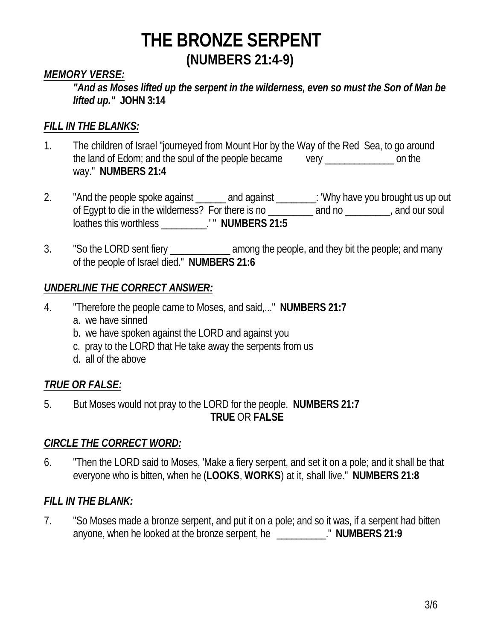#### *MEMORY VERSE:*

*"And as Moses lifted up the serpent in the wilderness, even so must the Son of Man be lifted up."* **JOHN 3:14**

### *FILL IN THE BLANKS:*

- 1. The children of Israel "journeyed from Mount Hor by the Way of the Red Sea, to go around the land of Edom; and the soul of the people became very \_\_\_\_\_\_\_\_\_\_\_\_\_\_ on the way." **NUMBERS 21:4**
- 2. "And the people spoke against \_\_\_\_\_\_ and against \_\_\_\_\_\_\_\_: 'Why have you brought us up out of Egypt to die in the wilderness? For there is no \_\_\_\_\_\_\_\_\_ and no \_\_\_\_\_\_\_\_\_, and our soul loathes this worthless \_\_\_\_\_\_\_\_\_.' " **NUMBERS 21:5**
- 3. "So the LORD sent fiery entitled among the people, and they bit the people; and many of the people of Israel died." **NUMBERS 21:6**

#### *UNDERLINE THE CORRECT ANSWER:*

- 4. "Therefore the people came to Moses, and said,..." **NUMBERS 21:7**
	- a. we have sinned
	- b. we have spoken against the LORD and against you
	- c. pray to the LORD that He take away the serpents from us
	- d. all of the above

## *TRUE OR FALSE:*

5. But Moses would not pray to the LORD for the people. **NUMBERS 21:7 TRUE** OR **FALSE**

#### *CIRCLE THE CORRECT WORD:*

6. "Then the LORD said to Moses, 'Make a fiery serpent, and set it on a pole; and it shall be that everyone who is bitten, when he (**LOOKS**, **WORKS**) at it, shall live." **NUMBERS 21:8**

#### *FILL IN THE BLANK:*

7. "So Moses made a bronze serpent, and put it on a pole; and so it was, if a serpent had bitten anyone, when he looked at the bronze serpent, he \_\_\_\_\_\_\_\_\_\_." **NUMBERS 21:9**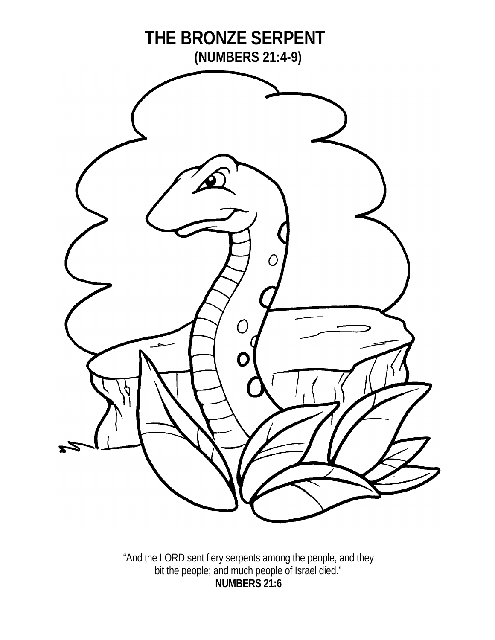

"And the LORD sent fiery serpents among the people, and they bit the people; and much people of Israel died." **NUMBERS 21:6**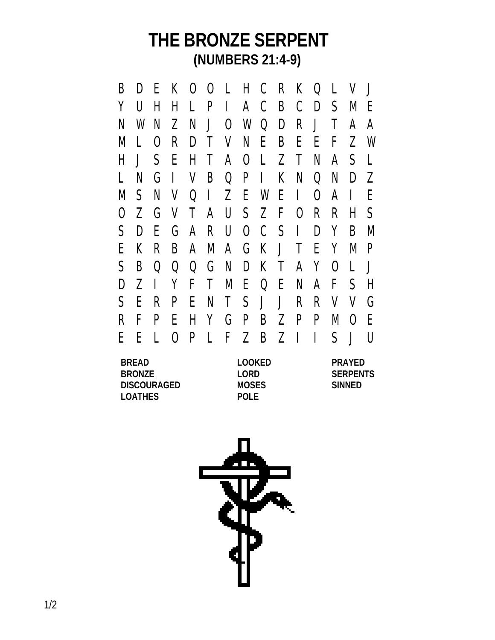B D E K O O L H C R K Q L V J Y U H H L P I A C B C D S M E N W N Z N J O W Q D R J T A A M L O R D T V N E B E E F Z W H J S E H T A O L Z T N A S L L N G I V B Q P I K N Q N D Z M S N V Q I Z E W E I O A I E O Z G V T A U S Z F O R R H S S D E G A R U O C S I D Y B M E K R B A M A G K J T E Y M P S B Q Q Q G N D K T A Y O L J D Z I Y F T M E Q E N A F S H S E R P E N T S J J R R V V G R F P E H Y G P B Z P P M O E E E L O P L F Z B Z I I S J U

**BREAD LOOKED PRAYED BRONZE LORD SERPENTS DISCOURAGED MOSES SINNED LOATHES POLE**

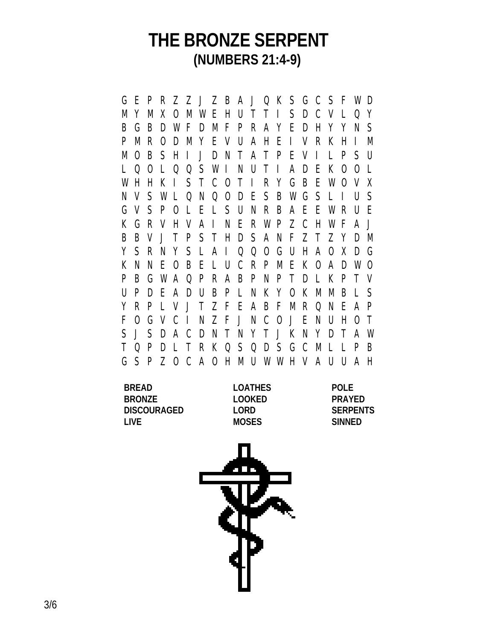G E P R Z Z J Z B A J Q K S G C S F W D M Y M X O M W E H U T T I S D C V L Q Y B G B D W F D M F P R A Y E D H Y Y N S P M R O D M Y E V U A H E I V R K H I M M O B S H I J D N T A T P E V I L P S U L Q O L Q Q S W I N U T I A D E K O O L W H H K I S T C O T I R Y G B E W O V X N V S W L Q N Q O D E S B W G S L I U S G V S P O L E L S U N R B A E E W R U E K G R V H V A I N E R W P Z C H W F A J B B V J T P S T H D S A N F Z T Z Y D M Y S R N Y S L A I Q Q O G U H A O X D G K N N E O B E L U C R P M E K O A D W O P B G W A Q P R A B P N P T D L K P T V U P D E A D U B P L N K Y O K M M B L S Y R P L V J T Z F E A B F M R Q N E A P F O G V C I N Z F J N C O J E N U H O T S J S D A C D N T N Y T J K N Y D T A W T Q P D L T R K Q S Q D S G C M L L P B G S P Z O C A O H M U W W H V A U U A H

| <b>BREAD</b>       | <b>LOATHES</b> | <b>POLE</b>     |
|--------------------|----------------|-----------------|
| <b>BRONZE</b>      | LOOKED         | <b>PRAYED</b>   |
| <b>DISCOURAGED</b> | LORD.          | <b>SERPENTS</b> |
| l IVF.             | <b>MOSES</b>   | SINNED          |